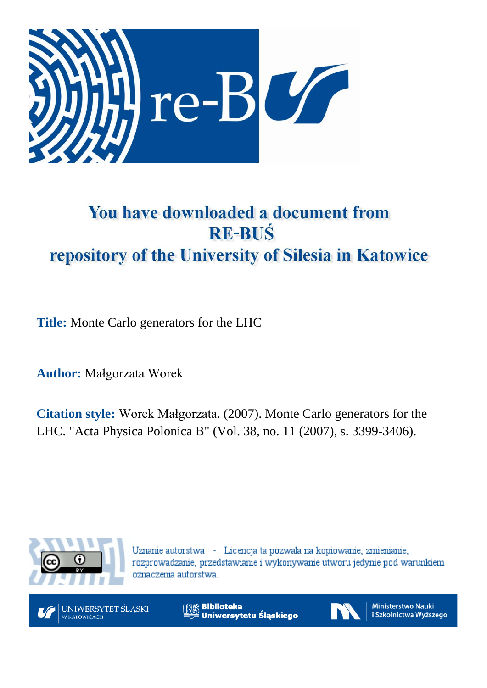

## You have downloaded a document from **RE-BUŚ** repository of the University of Silesia in Katowice

**Title:** Monte Carlo generators for the LHC

**Author:** Małgorzata Worek

**Citation style:** Worek Małgorzata. (2007). Monte Carlo generators for the LHC. "Acta Physica Polonica B" (Vol. 38, no. 11 (2007), s. 3399-3406).



Uznanie autorstwa - Licencja ta pozwala na kopiowanie, zmienianie, rozprowadzanie, przedstawianie i wykonywanie utworu jedynie pod warunkiem oznaczenia autorstwa.



UNIWERSYTET ŚLĄSKI **KATOWICACH** 

**Biblioteka** Uniwersytetu Śląskiego



**Ministerstwo Nauki** i Szkolnictwa Wyższego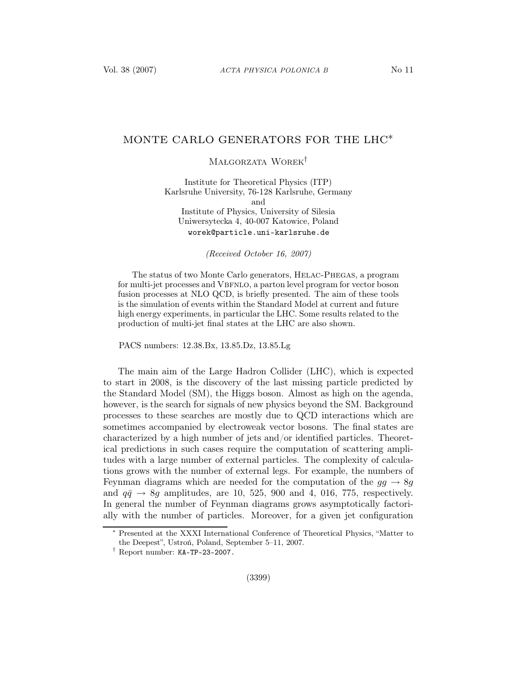## MONTE CARLO GENERATORS FOR THE LHC<sup>\*</sup>

Małgorzata Worek†

Institute for Theoretical Physics (ITP) Karlsruhe University, 76-128 Karlsruhe, Germany and Institute of Physics, University of Silesia Uniwersytecka 4, 40-007 Katowice, Poland worek@particle.uni-karlsruhe.de

(Received October 16, 2007)

The status of two Monte Carlo generators, Helac-Phegas, a program for multi-jet processes and VBFNLO, a parton level program for vector boson fusion processes at NLO QCD, is briefly presented. The aim of these tools is the simulation of events within the Standard Model at current and future high energy experiments, in particular the LHC. Some results related to the production of multi-jet final states at the LHC are also shown.

PACS numbers: 12.38.Bx, 13.85.Dz, 13.85.Lg

The main aim of the Large Hadron Collider (LHC), which is expected to start in 2008, is the discovery of the last missing particle predicted by the Standard Model (SM), the Higgs boson. Almost as high on the agenda, however, is the search for signals of new physics beyond the SM. Background processes to these searches are mostly due to QCD interactions which are sometimes accompanied by electroweak vector bosons. The final states are characterized by a high number of jets and/or identified particles. Theoretical predictions in such cases require the computation of scattering amplitudes with a large number of external particles. The complexity of calculations grows with the number of external legs. For example, the numbers of Feynman diagrams which are needed for the computation of the  $gg \to 8g$ and  $q\bar{q} \rightarrow 8g$  amplitudes, are 10, 525, 900 and 4, 016, 775, respectively. In general the number of Feynman diagrams grows asymptotically factorially with the number of particles. Moreover, for a given jet configuration

Presented at the XXXI International Conference of Theoretical Physics, "Matter to the Deepest", Ustroń, Poland, September 5–11, 2007.

<sup>†</sup> Report number: KA-TP-23-2007.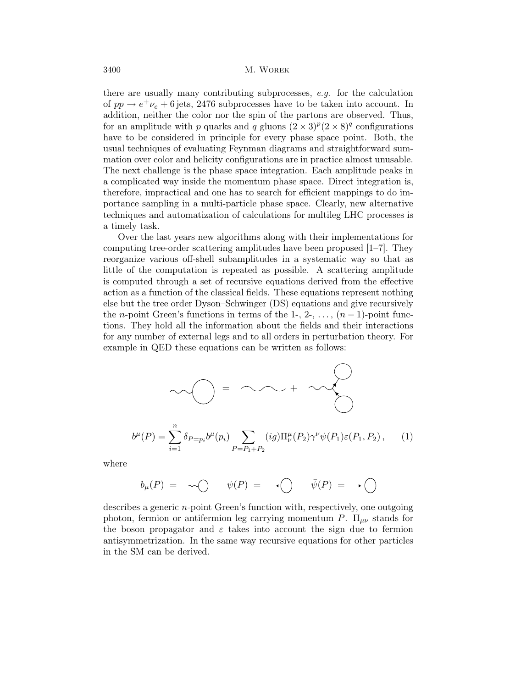there are usually many contributing subprocesses, e.g. for the calculation of  $pp \rightarrow e^+ \nu_e + 6$  jets, 2476 subprocesses have to be taken into account. In addition, neither the color nor the spin of the partons are observed. Thus, for an amplitude with p quarks and q gluons  $(2 \times 3)^p (2 \times 8)^q$  configurations have to be considered in principle for every phase space point. Both, the usual techniques of evaluating Feynman diagrams and straightforward summation over color and helicity configurations are in practice almost unusable. The next challenge is the phase space integration. Each amplitude peaks in a complicated way inside the momentum phase space. Direct integration is, therefore, impractical and one has to search for efficient mappings to do importance sampling in a multi-particle phase space. Clearly, new alternative techniques and automatization of calculations for multileg LHC processes is a timely task.

Over the last years new algorithms along with their implementations for computing tree-order scattering amplitudes have been proposed  $|1-\overline{7}|$ . They reorganize various off-shell subamplitudes in a systematic way so that as little of the computation is repeated as possible. A scattering amplitude is computed through a set of recursive equations derived from the effective action as a function of the classical fields. These equations represent nothing else but the tree order Dyson–Schwinger (DS) equations and give recursively the *n*-point Green's functions in terms of the 1-, 2-, ...,  $(n-1)$ -point functions. They hold all the information about the fields and their interactions for any number of external legs and to all orders in perturbation theory. For example in QED these equations can be written as follows:

$$
\bigcirc \bigcirc \bigcirc \bigcirc = \bigcirc \bigcirc \bigcirc + \bigcirc \bigcirc
$$
  

$$
b^{\mu}(P) = \sum_{i=1}^{n} \delta_{P=p_i} b^{\mu}(p_i) \sum_{P=P_1+P_2} (ig) \Pi^{\mu}_{\nu}(P_2) \gamma^{\nu} \psi(P_1) \varepsilon(P_1, P_2), \qquad (1)
$$

where

$$
b_{\mu}(P) = \sim \bigcirc \qquad \psi(P) = \neg \bigcirc \qquad \bar{\psi}(P) = \neg \bigcirc
$$

describes a generic n-point Green's function with, respectively, one outgoing photon, fermion or antifermion leg carrying momentum P.  $\Pi_{\mu\nu}$  stands for the boson propagator and  $\varepsilon$  takes into account the sign due to fermion antisymmetrization. In the same way recursive equations for other particles in the SM can be derived.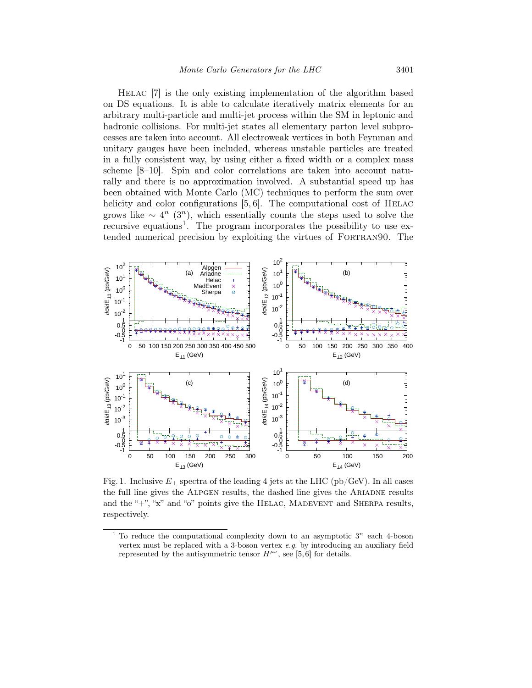Helac [7] is the only existing implementation of the algorithm based on DS equations. It is able to calculate iteratively matrix elements for an arbitrary multi-particle and multi-jet process within the SM in leptonic and hadronic collisions. For multi-jet states all elementary parton level subprocesses are taken into account. All electroweak vertices in both Feynman and unitary gauges have been included, whereas unstable particles are treated in a fully consistent way, by using either a fixed width or a complex mass scheme [8–10]. Spin and color correlations are taken into account naturally and there is no approximation involved. A substantial speed up has been obtained with Monte Carlo (MC) techniques to perform the sum over helicity and color configurations  $[5, 6]$ . The computational cost of HELAC grows like  $\sim 4^n$  (3<sup>n</sup>), which essentially counts the steps used to solve the recursive equations<sup>1</sup>. The program incorporates the possibility to use extended numerical precision by exploiting the virtues of FORTRAN90. The



Fig. 1. Inclusive  $E_{\perp}$  spectra of the leading 4 jets at the LHC (pb/GeV). In all cases the full line gives the Alpgen results, the dashed line gives the Ariadne results and the "+", "x" and "o" points give the HELAC, MADEVENT and SHERPA results, respectively.

<sup>&</sup>lt;sup>1</sup> To reduce the computational complexity down to an asymptotic  $3^n$  each 4-boson vertex must be replaced with a 3-boson vertex e.g. by introducing an auxiliary field represented by the antisymmetric tensor  $H^{\mu\nu}$ , see [5,6] for details.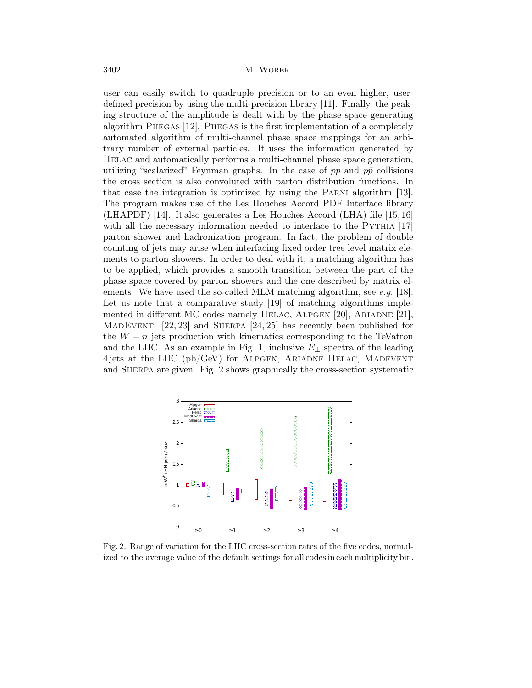user can easily switch to quadruple precision or to an even higher, userdefined precision by using the multi-precision library [11]. Finally, the peaking structure of the amplitude is dealt with by the phase space generating algorithm Phegas [12]. Phegas is the first implementation of a completely automated algorithm of multi-channel phase space mappings for an arbitrary number of external particles. It uses the information generated by Helac and automatically performs a multi-channel phase space generation, utilizing "scalarized" Feynman graphs. In the case of  $pp$  and  $p\bar{p}$  collisions the cross section is also convoluted with parton distribution functions. In that case the integration is optimized by using the Parni algorithm [13]. The program makes use of the Les Houches Accord PDF Interface library (LHAPDF) [14]. It also generates a Les Houches Accord (LHA) file [15, 16] with all the necessary information needed to interface to the PYTHIA [17] parton shower and hadronization program. In fact, the problem of double counting of jets may arise when interfacing fixed order tree level matrix elements to parton showers. In order to deal with it, a matching algorithm has to be applied, which provides a smooth transition between the part of the phase space covered by parton showers and the one described by matrix elements. We have used the so-called MLM matching algorithm, see e.g. [18]. Let us note that a comparative study [19] of matching algorithms implemented in different MC codes namely HELAC, ALPGEN [20], ARIADNE [21], MadEvent [22, 23] and Sherpa [24, 25] has recently been published for the  $W + n$  jets production with kinematics corresponding to the TeVatron and the LHC. As an example in Fig. 1, inclusive  $E_{\perp}$  spectra of the leading 4 jets at the LHC (pb/GeV) for Alpgen, Ariadne Helac, Madevent and Sherpa are given. Fig. 2 shows graphically the cross-section systematic



Fig. 2. Range of variation for the LHC cross-section rates of the five codes, normalized to the average value of the default settings for all codes in each multiplicity bin.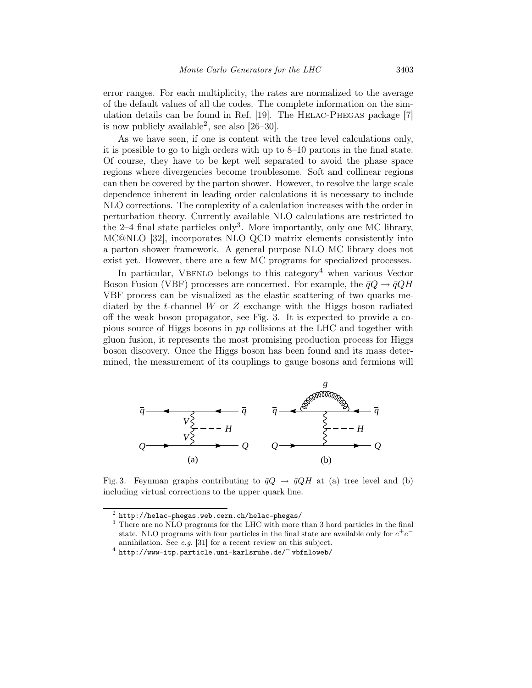error ranges. For each multiplicity, the rates are normalized to the average of the default values of all the codes. The complete information on the simulation details can be found in Ref. [19]. The HELAC-PHEGAS package [7] is now publicly available<sup>2</sup>, see also  $[26-30]$ .

As we have seen, if one is content with the tree level calculations only, it is possible to go to high orders with up to 8–10 partons in the final state. Of course, they have to be kept well separated to avoid the phase space regions where divergencies become troublesome. Soft and collinear regions can then be covered by the parton shower. However, to resolve the large scale dependence inherent in leading order calculations it is necessary to include NLO corrections. The complexity of a calculation increases with the order in perturbation theory. Currently available NLO calculations are restricted to the 2–4 final state particles only<sup>3</sup>. More importantly, only one MC library, MC@NLO [32], incorporates NLO QCD matrix elements consistently into a parton shower framework. A general purpose NLO MC library does not exist yet. However, there are a few MC programs for specialized processes.

In particular, VBFNLO belongs to this category<sup>4</sup> when various Vector Boson Fusion (VBF) processes are concerned. For example, the  $\bar{q}Q \rightarrow \bar{q}QH$ VBF process can be visualized as the elastic scattering of two quarks mediated by the t-channel W or  $Z$  exchange with the Higgs boson radiated off the weak boson propagator, see Fig. 3. It is expected to provide a copious source of Higgs bosons in pp collisions at the LHC and together with gluon fusion, it represents the most promising production process for Higgs boson discovery. Once the Higgs boson has been found and its mass determined, the measurement of its couplings to gauge bosons and fermions will



Fig. 3. Feynman graphs contributing to  $\bar{q}Q \rightarrow \bar{q}QH$  at (a) tree level and (b) including virtual corrections to the upper quark line.

<sup>2</sup> http://helac-phegas.web.cern.ch/helac-phegas/

<sup>&</sup>lt;sup>3</sup> There are no NLO programs for the LHC with more than 3 hard particles in the final state. NLO programs with four particles in the final state are available only for  $e^+e^$ annihilation. See e.g. [31] for a recent review on this subject.

<sup>4</sup> http://www-itp.particle.uni-karlsruhe.de/<sup>∼</sup> vbfnloweb/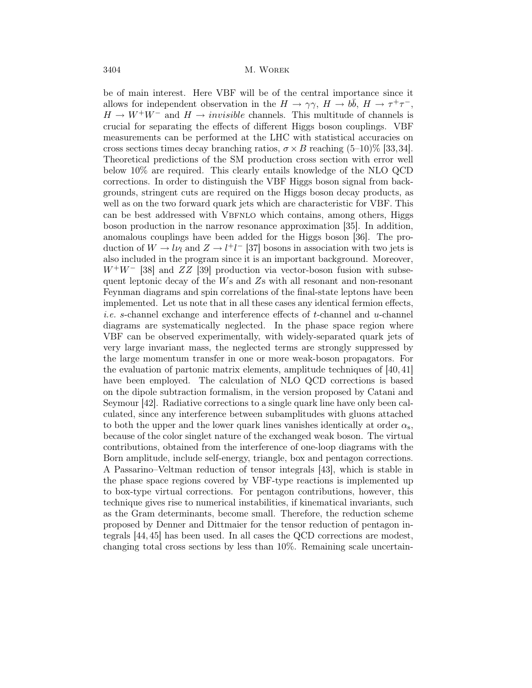be of main interest. Here VBF will be of the central importance since it allows for independent observation in the  $H \to \gamma \gamma$ ,  $H \to b\bar{b}$ ,  $H \to \tau^+ \tau^-$ ,  $H \to W^+W^-$  and  $H \to invisible$  channels. This multitude of channels is crucial for separating the effects of different Higgs boson couplings. VBF measurements can be performed at the LHC with statistical accuracies on cross sections times decay branching ratios,  $\sigma \times B$  reaching (5–10)% [33,34]. Theoretical predictions of the SM production cross section with error well below 10% are required. This clearly entails knowledge of the NLO QCD corrections. In order to distinguish the VBF Higgs boson signal from backgrounds, stringent cuts are required on the Higgs boson decay products, as well as on the two forward quark jets which are characteristic for VBF. This can be best addressed with VBFNLO which contains, among others, Higgs boson production in the narrow resonance approximation [35]. In addition, anomalous couplings have been added for the Higgs boson [36]. The production of  $W \to l\nu_l$  and  $Z \to l^+l^-$  [37] bosons in association with two jets is also included in the program since it is an important background. Moreover,  $W^+W^-$  [38] and  $ZZ$  [39] production via vector-boson fusion with subsequent leptonic decay of the  $W_s$  and  $Z_s$  with all resonant and non-resonant Feynman diagrams and spin correlations of the final-state leptons have been implemented. Let us note that in all these cases any identical fermion effects, *i.e.* s-channel exchange and interference effects of t-channel and  $u$ -channel diagrams are systematically neglected. In the phase space region where VBF can be observed experimentally, with widely-separated quark jets of very large invariant mass, the neglected terms are strongly suppressed by the large momentum transfer in one or more weak-boson propagators. For the evaluation of partonic matrix elements, amplitude techniques of [40, 41] have been employed. The calculation of NLO QCD corrections is based on the dipole subtraction formalism, in the version proposed by Catani and Seymour [42]. Radiative corrections to a single quark line have only been calculated, since any interference between subamplitudes with gluons attached to both the upper and the lower quark lines vanishes identically at order  $\alpha_s$ , because of the color singlet nature of the exchanged weak boson. The virtual contributions, obtained from the interference of one-loop diagrams with the Born amplitude, include self-energy, triangle, box and pentagon corrections. A Passarino–Veltman reduction of tensor integrals [43], which is stable in the phase space regions covered by VBF-type reactions is implemented up to box-type virtual corrections. For pentagon contributions, however, this technique gives rise to numerical instabilities, if kinematical invariants, such as the Gram determinants, become small. Therefore, the reduction scheme proposed by Denner and Dittmaier for the tensor reduction of pentagon integrals [44, 45] has been used. In all cases the QCD corrections are modest, changing total cross sections by less than 10%. Remaining scale uncertain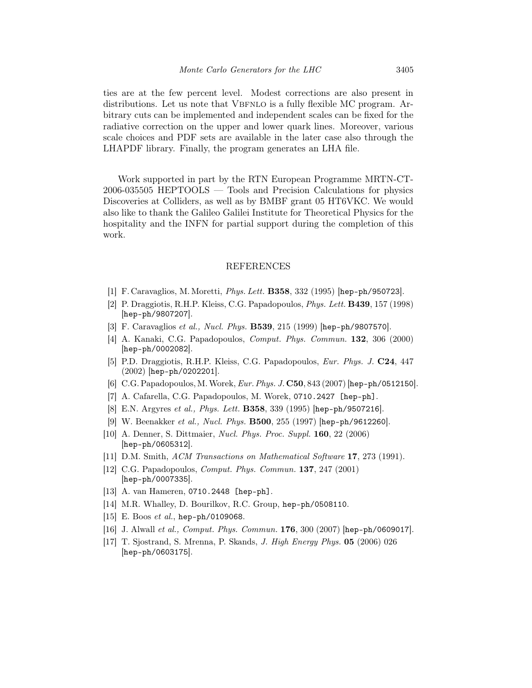ties are at the few percent level. Modest corrections are also present in distributions. Let us note that VBFNLO is a fully flexible MC program. Arbitrary cuts can be implemented and independent scales can be fixed for the radiative correction on the upper and lower quark lines. Moreover, various scale choices and PDF sets are available in the later case also through the LHAPDF library. Finally, the program generates an LHA file.

Work supported in part by the RTN European Programme MRTN-CT-2006-035505 HEPTOOLS — Tools and Precision Calculations for physics Discoveries at Colliders, as well as by BMBF grant 05 HT6VKC. We would also like to thank the Galileo Galilei Institute for Theoretical Physics for the hospitality and the INFN for partial support during the completion of this work.

## REFERENCES

- [1] F. Caravaglios, M. Moretti, Phys. Lett. B358, 332 (1995) [hep-ph/950723].
- [2] P. Draggiotis, R.H.P. Kleiss, C.G. Papadopoulos, Phys. Lett. B439, 157 (1998) [hep-ph/9807207].
- [3] F. Caravaglios et al., Nucl. Phys. B539, 215 (1999) [hep-ph/9807570].
- [4] A. Kanaki, C.G. Papadopoulos, Comput. Phys. Commun. 132, 306 (2000) [hep-ph/0002082].
- [5] P.D. Draggiotis, R.H.P. Kleiss, C.G. Papadopoulos, Eur. Phys. J. C24, 447 (2002) [hep-ph/0202201].
- [6] C.G. Papadopoulos, M. Worek, Eur. Phys. J. C50, 843 (2007) [hep-ph/0512150].
- [7] A. Cafarella, C.G. Papadopoulos, M. Worek, 0710.2427 [hep-ph].
- [8] E.N. Argyres et al., Phys. Lett. B358, 339 (1995) [hep-ph/9507216].
- [9] W. Beenakker et al., Nucl. Phys. B500, 255 (1997) [hep-ph/9612260].
- [10] A. Denner, S. Dittmaier, Nucl. Phys. Proc. Suppl. 160, 22 (2006) [hep-ph/0605312].
- [11] D.M. Smith, ACM Transactions on Mathematical Software 17, 273 (1991).
- [12] C.G. Papadopoulos, *Comput. Phys. Commun.* **137**, 247 (2001) [hep-ph/0007335].
- [13] A. van Hameren, 0710.2448 [hep-ph].
- [14] M.R. Whalley, D. Bourilkov, R.C. Group, hep-ph/0508110.
- [15] E. Boos et al., hep-ph/0109068.
- [16] J. Alwall et al., Comput. Phys. Commun. 176, 300 (2007) [hep-ph/0609017].
- [17] T. Sjostrand, S. Mrenna, P. Skands, J. High Energy Phys. 05 (2006) 026 [hep-ph/0603175].